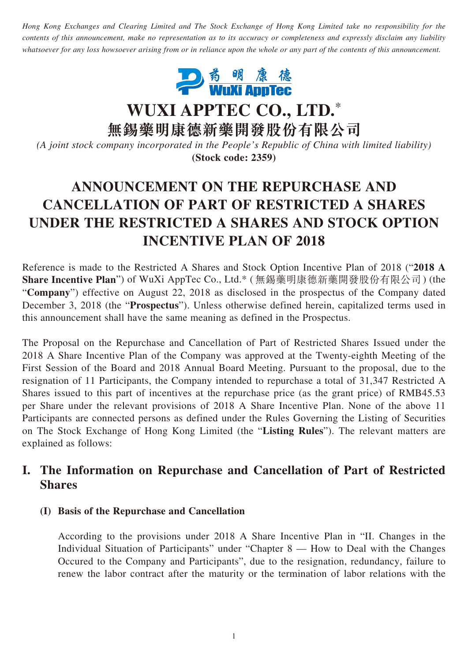*Hong Kong Exchanges and Clearing Limited and The Stock Exchange of Hong Kong Limited take no responsibility for the contents of this announcement, make no representation as to its accuracy or completeness and expressly disclaim any liability whatsoever for any loss howsoever arising from or in reliance upon the whole or any part of the contents of this announcement.*



**WUXI APPTEC CO., LTD.**\*

**無錫藥明康德新藥開發股份有限公司**

*(A joint stock company incorporated in the People's Republic of China with limited liability)* **(Stock code: 2359)**

# **ANNOUNCEMENT ON THE REPURCHASE AND CANCELLATION OF PART OF RESTRICTED A SHARES UNDER THE RESTRICTED A SHARES AND STOCK OPTION INCENTIVE PLAN OF 2018**

Reference is made to the Restricted A Shares and Stock Option Incentive Plan of 2018 ("**2018 A Share Incentive Plan**") of WuXi AppTec Co., Ltd.\* ( 無錫藥明康德新藥開發股份有限公司) (the "**Company**") effective on August 22, 2018 as disclosed in the prospectus of the Company dated December 3, 2018 (the "**Prospectus**"). Unless otherwise defined herein, capitalized terms used in this announcement shall have the same meaning as defined in the Prospectus.

The Proposal on the Repurchase and Cancellation of Part of Restricted Shares Issued under the 2018 A Share Incentive Plan of the Company was approved at the Twenty-eighth Meeting of the First Session of the Board and 2018 Annual Board Meeting. Pursuant to the proposal, due to the resignation of 11 Participants, the Company intended to repurchase a total of 31,347 Restricted A Shares issued to this part of incentives at the repurchase price (as the grant price) of RMB45.53 per Share under the relevant provisions of 2018 A Share Incentive Plan. None of the above 11 Participants are connected persons as defined under the Rules Governing the Listing of Securities on The Stock Exchange of Hong Kong Limited (the "**Listing Rules**"). The relevant matters are explained as follows:

### **I. The Information on Repurchase and Cancellation of Part of Restricted Shares**

#### **(I) Basis of the Repurchase and Cancellation**

According to the provisions under 2018 A Share Incentive Plan in "II. Changes in the Individual Situation of Participants" under "Chapter 8 — How to Deal with the Changes Occured to the Company and Participants", due to the resignation, redundancy, failure to renew the labor contract after the maturity or the termination of labor relations with the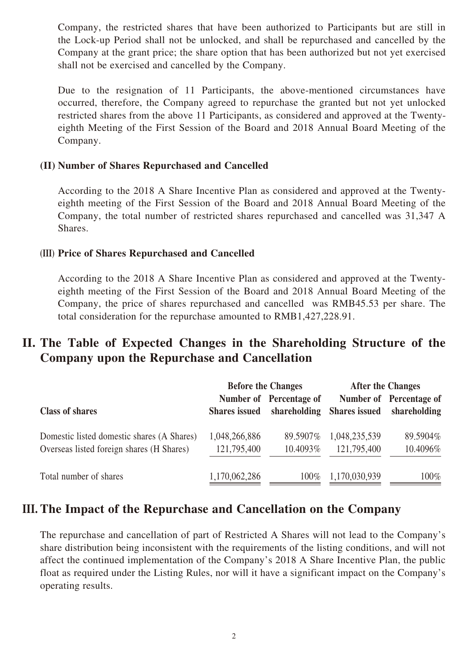Company, the restricted shares that have been authorized to Participants but are still in the Lock-up Period shall not be unlocked, and shall be repurchased and cancelled by the Company at the grant price; the share option that has been authorized but not yet exercised shall not be exercised and cancelled by the Company.

Due to the resignation of 11 Participants, the above-mentioned circumstances have occurred, therefore, the Company agreed to repurchase the granted but not yet unlocked restricted shares from the above 11 Participants, as considered and approved at the Twentyeighth Meeting of the First Session of the Board and 2018 Annual Board Meeting of the Company.

#### **(II) Number of Shares Repurchased and Cancelled**

According to the 2018 A Share Incentive Plan as considered and approved at the Twentyeighth meeting of the First Session of the Board and 2018 Annual Board Meeting of the Company, the total number of restricted shares repurchased and cancelled was 31,347 A Shares.

#### **(III) Price of Shares Repurchased and Cancelled**

According to the 2018 A Share Incentive Plan as considered and approved at the Twentyeighth meeting of the First Session of the Board and 2018 Annual Board Meeting of the Company, the price of shares repurchased and cancelled was RMB45.53 per share. The total consideration for the repurchase amounted to RMB1,427,228.91.

### **II. The Table of Expected Changes in the Shareholding Structure of the Company upon the Repurchase and Cancellation**

|                                                                                         | <b>Before the Changes</b>    |                                         | <b>After the Changes</b>     |                                                       |
|-----------------------------------------------------------------------------------------|------------------------------|-----------------------------------------|------------------------------|-------------------------------------------------------|
| <b>Class of shares</b>                                                                  | <b>Shares</b> issued         | Number of Percentage of<br>shareholding |                              | Number of Percentage of<br>Shares issued shareholding |
| Domestic listed domestic shares (A Shares)<br>Overseas listed foreign shares (H Shares) | 1,048,266,886<br>121,795,400 | 89.5907\%<br>10.4093%                   | 1,048,235,539<br>121,795,400 | 89.5904%<br>10.4096%                                  |
| Total number of shares                                                                  | 1,170,062,286                | $100\%$                                 | 1,170,030,939                | $100\%$                                               |

#### **III. The Impact of the Repurchase and Cancellation on the Company**

The repurchase and cancellation of part of Restricted A Shares will not lead to the Company's share distribution being inconsistent with the requirements of the listing conditions, and will not affect the continued implementation of the Company's 2018 A Share Incentive Plan, the public float as required under the Listing Rules, nor will it have a significant impact on the Company's operating results.